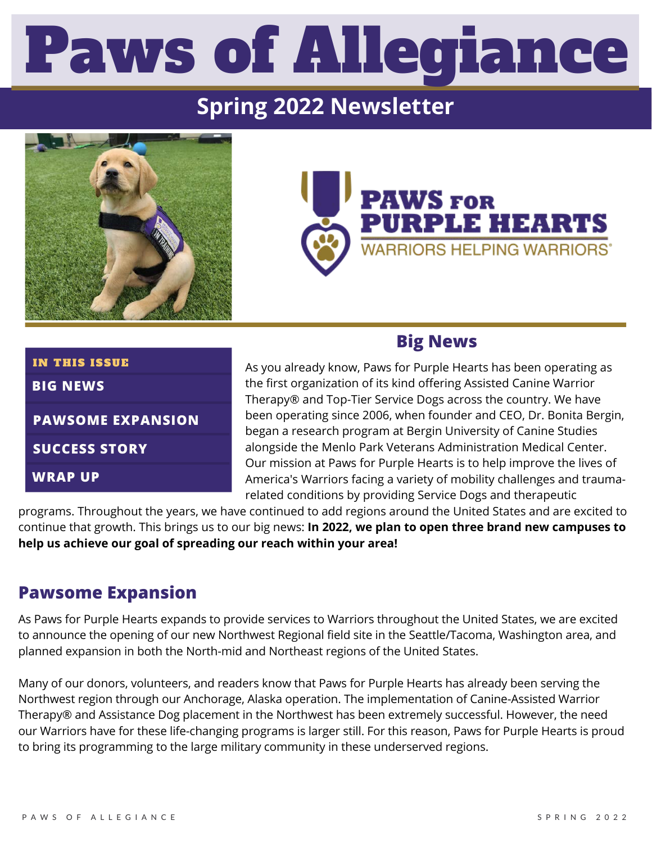# Paws of Allegiance

# **Spring 2022 Newsletter**





## **BIG NEWS** IN THIS ISSUE

**PAWSOME EXPANSION**

**SUCCESS STORY**

**WRAP UP**

## **Big News**

As you already know, Paws for Purple Hearts has been operating as the first organization of its kind offering Assisted Canine Warrior Therapy® and Top-Tier Service Dogs across the country. We have been operating since 2006, when founder and CEO, Dr. Bonita Bergin, began a research program at Bergin University of Canine Studies alongside the Menlo Park Veterans Administration Medical Center. Our mission at Paws for Purple Hearts is to help improve the lives of America's Warriors facing a variety of mobility challenges and traumarelated conditions by providing Service Dogs and therapeutic

programs. Throughout the years, we have continued to add regions around the United States and are excited to continue that growth. This brings us to our big news: **In 2022, we plan to open three brand new campuses to help us achieve our goal of spreading our reach within your area!**

## **Pawsome Expansion**

As Paws for Purple Hearts expands to provide services to Warriors throughout the United States, we are excited to announce the opening of our new Northwest Regional field site in the Seattle/Tacoma, Washington area, and planned expansion in both the North-mid and Northeast regions of the United States.

Many of our donors, volunteers, and readers know that Paws for Purple Hearts has already been serving the Northwest region through our Anchorage, Alaska operation. The implementation of Canine-Assisted Warrior Therapy® and Assistance Dog placement in the Northwest has been extremely successful. However, the need our Warriors have for these life-changing programs is larger still. For this reason, Paws for Purple Hearts is proud to bring its programming to the large military community in these underserved regions.